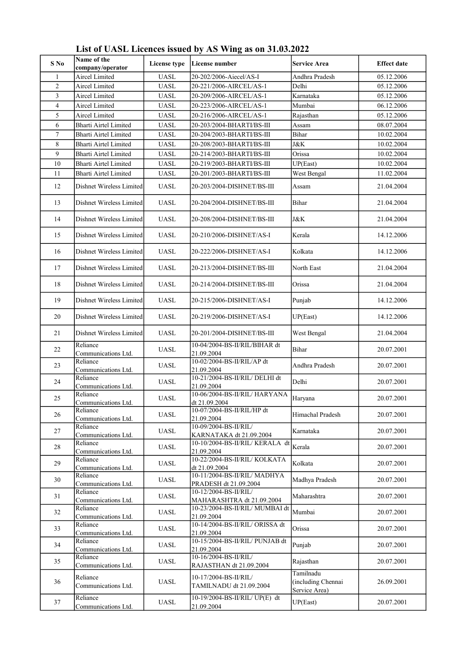| $S$ No                         | Name of the                             | License type | License number                                        | <b>Service Area</b>                              | <b>Effect date</b> |
|--------------------------------|-----------------------------------------|--------------|-------------------------------------------------------|--------------------------------------------------|--------------------|
|                                | company/operator                        |              |                                                       |                                                  |                    |
| $\mathbf{1}$<br>$\overline{2}$ | Aircel Limited                          | <b>UASL</b>  | 20-202/2006-Aiecel/AS-I                               | Andhra Pradesh                                   | 05.12.2006         |
|                                | Aircel Limited<br><b>Aircel Limited</b> | <b>UASL</b>  | 20-221/2006-AIRCEL/AS-1                               | Delhi                                            | 05.12.2006         |
| 3                              | <b>Aircel Limited</b>                   | <b>UASL</b>  | 20-209/2006-AIRCEL/AS-1                               | Karnataka                                        | 05.12.2006         |
| $\overline{\mathbf{4}}$        |                                         | <b>UASL</b>  | 20-223/2006-AIRCEL/AS-1                               | Mumbai                                           | 06.12.2006         |
| 5                              | Aircel Limited                          | <b>UASL</b>  | 20-216/2006-AIRCEL/AS-1                               | Rajasthan                                        | 05.12.2006         |
| 6                              | Bharti Airtel Limited                   | <b>UASL</b>  | 20-203/2004-BHARTI/BS-III                             | Assam                                            | 08.07.2004         |
| $\boldsymbol{7}$               | <b>Bharti Airtel Limited</b>            | <b>UASL</b>  | 20-204/2003-BHARTI/BS-III                             | Bihar                                            | 10.02.2004         |
| $\,$ 8 $\,$                    | <b>Bharti Airtel Limited</b>            | <b>UASL</b>  | 20-208/2003-BHARTI/BS-III                             | J&K                                              | 10.02.2004         |
| 9                              | <b>Bharti Airtel Limited</b>            | <b>UASL</b>  | 20-214/2003-BHARTI/BS-III                             | Orissa                                           | 10.02.2004         |
| 10                             | Bharti Airtel Limited                   | <b>UASL</b>  | 20-219/2003-BHARTI/BS-III                             | UP(East)                                         | 10.02.2004         |
| 11                             | <b>Bharti Airtel Limited</b>            | <b>UASL</b>  | 20-201/2003-BHARTI/BS-III                             | West Bengal                                      | 11.02.2004         |
| 12                             | Dishnet Wireless Limited                | <b>UASL</b>  | 20-203/2004-DISHNET/BS-III                            | Assam                                            | 21.04.2004         |
| 13                             | Dishnet Wireless Limited                | UASL         | 20-204/2004-DISHNET/BS-III                            | Bihar                                            | 21.04.2004         |
| 14                             | Dishnet Wireless Limited                | UASL         | 20-208/2004-DISHNET/BS-III                            | J&K                                              | 21.04.2004         |
| 15                             | Dishnet Wireless Limited                | UASL         | 20-210/2006-DISHNET/AS-I                              | Kerala                                           | 14.12.2006         |
| 16                             | Dishnet Wireless Limited                | <b>UASL</b>  | 20-222/2006-DISHNET/AS-I                              | Kolkata                                          | 14.12.2006         |
| 17                             | Dishnet Wireless Limited                | <b>UASL</b>  | 20-213/2004-DISHNET/BS-III                            | North East                                       | 21.04.2004         |
| 18                             | Dishnet Wireless Limited                | <b>UASL</b>  | 20-214/2004-DISHNET/BS-III                            | Orissa                                           | 21.04.2004         |
| 19                             | Dishnet Wireless Limited                | <b>UASL</b>  | 20-215/2006-DISHNET/AS-I                              | Punjab                                           | 14.12.2006         |
| 20                             | Dishnet Wireless Limited                | UASL         | 20-219/2006-DISHNET/AS-I                              | UP(East)                                         | 14.12.2006         |
| 21                             | Dishnet Wireless Limited                | UASL         | 20-201/2004-DISHNET/BS-III                            | West Bengal                                      | 21.04.2004         |
| 22                             | Reliance<br>Communications Ltd.         | UASL         | 10-04/2004-BS-II/RIL/BIHAR dt<br>21.09.2004           | Bihar                                            | 20.07.2001         |
| 23                             | Reliance<br>Communications Ltd.         | UASL         | 10-02/2004-BS-II/RIL/AP dt<br>21.09.2004              | Andhra Pradesh                                   | 20.07.2001         |
| 24                             | Reliance<br>Communications Ltd.         | <b>UASL</b>  | 10-21/2004-BS-II/RIL/ DELHI dt<br>21.09.2004          | Delhi                                            | 20.07.2001         |
| 25                             | Reliance<br>Communications Ltd.         | UASL         | 10-06/2004-BS-II/RIL/ HARYANA<br>dt 21.09.2004        | Haryana                                          | 20.07.2001         |
| 26                             | Reliance<br>Communications Ltd.         | UASL         | 10-07/2004-BS-II/RIL/HP dt<br>21.09.2004              | Himachal Pradesh                                 | 20.07.2001         |
| 27                             | Reliance<br>Communications Ltd.         | <b>UASL</b>  | 10-09/2004-BS-II/RIL/<br>KARNATAKA dt 21.09.2004      | Karnataka                                        | 20.07.2001         |
| 28                             | Reliance<br>Communications Ltd.         | UASL         | 10-10/2004-BS-II/RIL/ KERALA dt<br>21.09.2004         | Kerala                                           | 20.07.2001         |
| 29                             | Reliance<br>Communications Ltd.         | UASL         | 10-22/2004-BS-II/RIL/ KOLKATA<br>dt 21.09.2004        | Kolkata                                          | 20.07.2001         |
| 30                             | Reliance<br>Communications Ltd.         | UASL         | 10-11/2004-BS-II/RIL/ MADHYA<br>PRADESH dt 21.09.2004 | Madhya Pradesh                                   | 20.07.2001         |
| 31                             | Reliance<br>Communications Ltd.         | <b>UASL</b>  | 10-12/2004-BS-II/RIL/<br>MAHARASHTRA dt 21.09.2004    | Maharashtra                                      | 20.07.2001         |
| 32                             | Reliance<br>Communications Ltd.         | UASL         | 10-23/2004-BS-II/RIL/ MUMBAI dt<br>21.09.2004         | Mumbai                                           | 20.07.2001         |
| 33                             | Reliance<br>Communications Ltd.         | UASL         | 10-14/2004-BS-II/RIL/ ORISSA dt<br>21.09.2004         | Orissa                                           | 20.07.2001         |
| 34                             | Reliance<br>Communications Ltd.         | <b>UASL</b>  | 10-15/2004-BS-II/RIL/ PUNJAB dt<br>21.09.2004         | Punjab                                           | 20.07.2001         |
| 35                             | Reliance<br>Communications Ltd.         | UASL         | 10-16/2004-BS-II/RIL/<br>RAJASTHAN dt 21.09.2004      | Rajasthan                                        | 20.07.2001         |
| 36                             | Reliance<br>Communications Ltd.         | UASL         | 10-17/2004-BS-II/RIL/<br>TAMILNADU dt 21.09.2004      | Tamilnadu<br>(including Chennai<br>Service Area) | 26.09.2001         |
| 37                             | Reliance<br>Communications Ltd.         | UASL         | 10-19/2004-BS-II/RIL/ UP(E) dt<br>21.09.2004          | UP(East)                                         | 20.07.2001         |

List of UASL Licences issued by AS Wing as on 31.03.2022